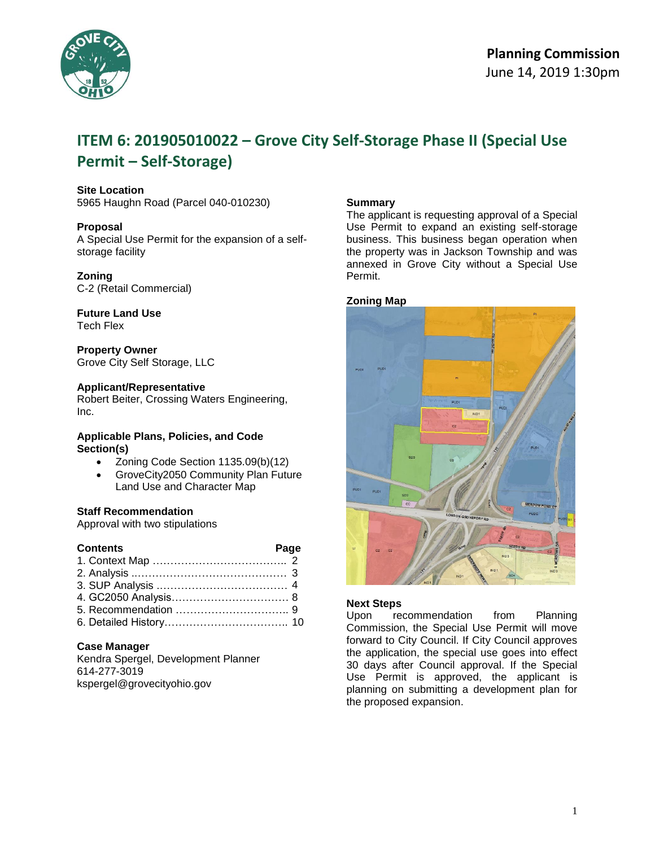

# **ITEM 6: 201905010022 – Grove City Self-Storage Phase II (Special Use Permit – Self-Storage)**

#### **Site Location**

5965 Haughn Road (Parcel 040-010230)

#### **Proposal**

A Special Use Permit for the expansion of a selfstorage facility

#### **Zoning**

C-2 (Retail Commercial)

# **Future Land Use**

Tech Flex

# **Property Owner**

Grove City Self Storage, LLC

### **Applicant/Representative**

Robert Beiter, Crossing Waters Engineering, Inc.

#### **Applicable Plans, Policies, and Code Section(s)**

- Zoning Code Section 1135.09(b)(12)
- GroveCity2050 Community Plan Future Land Use and Character Map

### **Staff Recommendation**

Approval with two stipulations

| <b>Contents</b> | Page |  |
|-----------------|------|--|
|                 |      |  |
|                 |      |  |
|                 |      |  |
|                 |      |  |
|                 |      |  |
|                 |      |  |

#### **Case Manager**

Kendra Spergel, Development Planner 614-277-3019 kspergel@grovecityohio.gov

#### **Summary**

The applicant is requesting approval of a Special Use Permit to expand an existing self-storage business. This business began operation when the property was in Jackson Township and was annexed in Grove City without a Special Use Permit.

#### **Zoning Map**



#### **Next Steps**

Upon recommendation from Planning Commission, the Special Use Permit will move forward to City Council. If City Council approves the application, the special use goes into effect 30 days after Council approval. If the Special Use Permit is approved, the applicant is planning on submitting a development plan for the proposed expansion.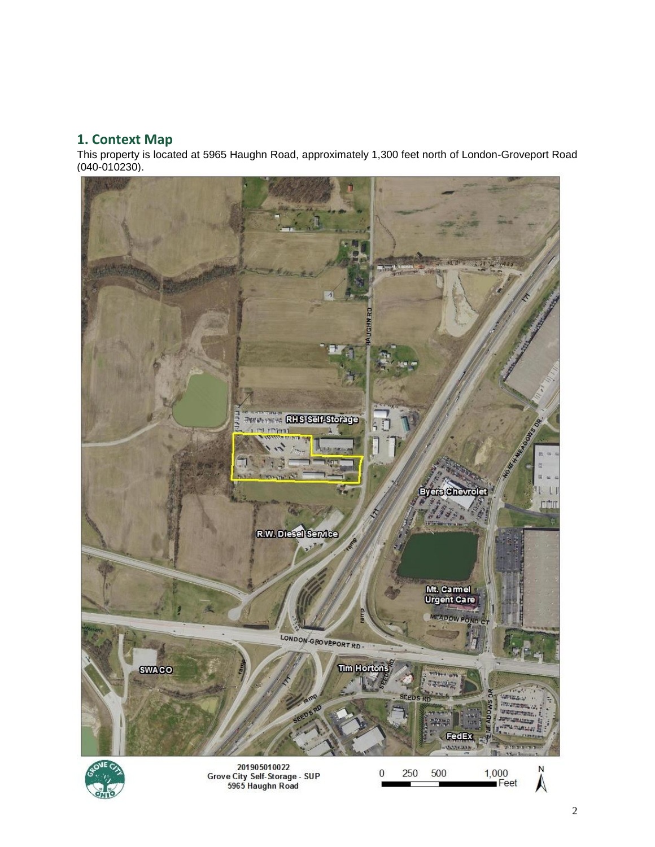# **1. Context Map**

This property is located at 5965 Haughn Road, approximately 1,300 feet north of London-Groveport Road (040-010230).

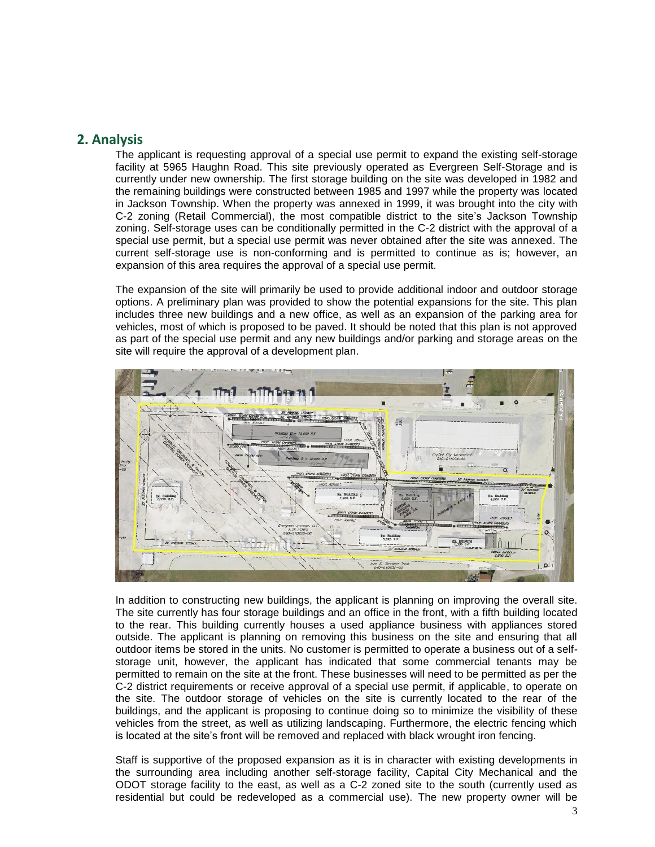# **2. Analysis**

The applicant is requesting approval of a special use permit to expand the existing self-storage facility at 5965 Haughn Road. This site previously operated as Evergreen Self-Storage and is currently under new ownership. The first storage building on the site was developed in 1982 and the remaining buildings were constructed between 1985 and 1997 while the property was located in Jackson Township. When the property was annexed in 1999, it was brought into the city with C-2 zoning (Retail Commercial), the most compatible district to the site's Jackson Township zoning. Self-storage uses can be conditionally permitted in the C-2 district with the approval of a special use permit, but a special use permit was never obtained after the site was annexed. The current self-storage use is non-conforming and is permitted to continue as is; however, an expansion of this area requires the approval of a special use permit.

The expansion of the site will primarily be used to provide additional indoor and outdoor storage options. A preliminary plan was provided to show the potential expansions for the site. This plan includes three new buildings and a new office, as well as an expansion of the parking area for vehicles, most of which is proposed to be paved. It should be noted that this plan is not approved as part of the special use permit and any new buildings and/or parking and storage areas on the site will require the approval of a development plan.



In addition to constructing new buildings, the applicant is planning on improving the overall site. The site currently has four storage buildings and an office in the front, with a fifth building located to the rear. This building currently houses a used appliance business with appliances stored outside. The applicant is planning on removing this business on the site and ensuring that all outdoor items be stored in the units. No customer is permitted to operate a business out of a selfstorage unit, however, the applicant has indicated that some commercial tenants may be permitted to remain on the site at the front. These businesses will need to be permitted as per the C-2 district requirements or receive approval of a special use permit, if applicable, to operate on the site. The outdoor storage of vehicles on the site is currently located to the rear of the buildings, and the applicant is proposing to continue doing so to minimize the visibility of these vehicles from the street, as well as utilizing landscaping. Furthermore, the electric fencing which is located at the site's front will be removed and replaced with black wrought iron fencing.

Staff is supportive of the proposed expansion as it is in character with existing developments in the surrounding area including another self-storage facility, Capital City Mechanical and the ODOT storage facility to the east, as well as a C-2 zoned site to the south (currently used as residential but could be redeveloped as a commercial use). The new property owner will be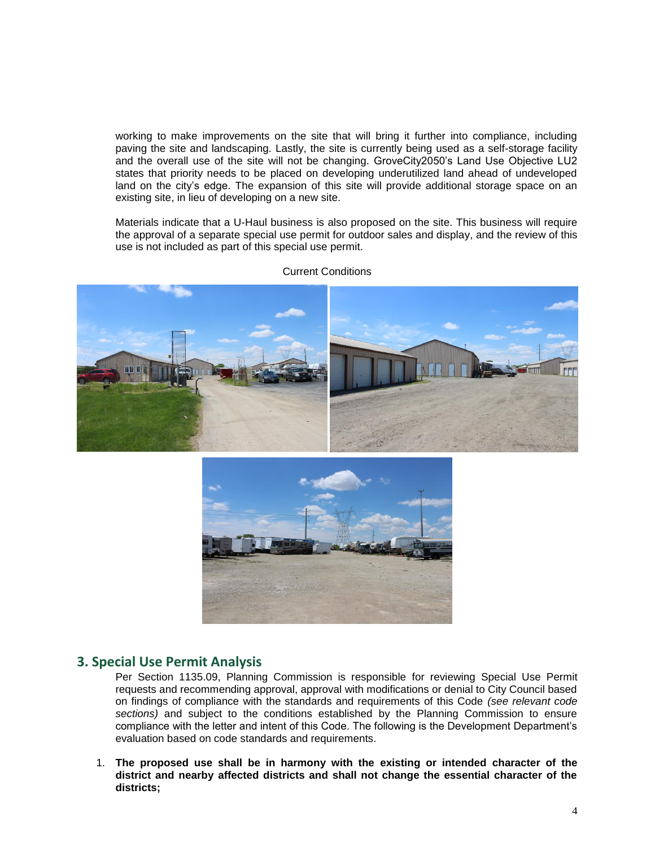working to make improvements on the site that will bring it further into compliance, including paving the site and landscaping. Lastly, the site is currently being used as a self-storage facility and the overall use of the site will not be changing. GroveCity2050's Land Use Objective LU2 states that priority needs to be placed on developing underutilized land ahead of undeveloped land on the city's edge. The expansion of this site will provide additional storage space on an existing site, in lieu of developing on a new site.

Materials indicate that a U-Haul business is also proposed on the site. This business will require the approval of a separate special use permit for outdoor sales and display, and the review of this use is not included as part of this special use permit.



Current Conditions



# **3. Special Use Permit Analysis**

Per Section 1135.09, Planning Commission is responsible for reviewing Special Use Permit requests and recommending approval, approval with modifications or denial to City Council based on findings of compliance with the standards and requirements of this Code *(see relevant code sections)* and subject to the conditions established by the Planning Commission to ensure compliance with the letter and intent of this Code. The following is the Development Department's evaluation based on code standards and requirements.

1. **The proposed use shall be in harmony with the existing or intended character of the district and nearby affected districts and shall not change the essential character of the districts;**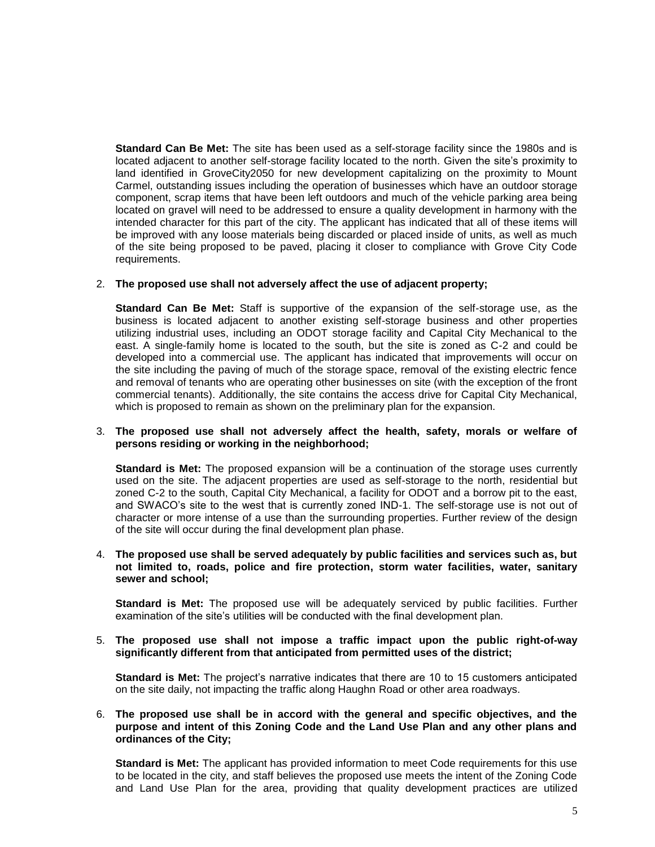**Standard Can Be Met:** The site has been used as a self-storage facility since the 1980s and is located adjacent to another self-storage facility located to the north. Given the site's proximity to land identified in GroveCity2050 for new development capitalizing on the proximity to Mount Carmel, outstanding issues including the operation of businesses which have an outdoor storage component, scrap items that have been left outdoors and much of the vehicle parking area being located on gravel will need to be addressed to ensure a quality development in harmony with the intended character for this part of the city. The applicant has indicated that all of these items will be improved with any loose materials being discarded or placed inside of units, as well as much of the site being proposed to be paved, placing it closer to compliance with Grove City Code requirements.

#### 2. **The proposed use shall not adversely affect the use of adjacent property;**

**Standard Can Be Met:** Staff is supportive of the expansion of the self-storage use, as the business is located adjacent to another existing self-storage business and other properties utilizing industrial uses, including an ODOT storage facility and Capital City Mechanical to the east. A single-family home is located to the south, but the site is zoned as C-2 and could be developed into a commercial use. The applicant has indicated that improvements will occur on the site including the paving of much of the storage space, removal of the existing electric fence and removal of tenants who are operating other businesses on site (with the exception of the front commercial tenants). Additionally, the site contains the access drive for Capital City Mechanical, which is proposed to remain as shown on the preliminary plan for the expansion.

#### 3. **The proposed use shall not adversely affect the health, safety, morals or welfare of persons residing or working in the neighborhood;**

**Standard is Met:** The proposed expansion will be a continuation of the storage uses currently used on the site. The adjacent properties are used as self-storage to the north, residential but zoned C-2 to the south, Capital City Mechanical, a facility for ODOT and a borrow pit to the east, and SWACO's site to the west that is currently zoned IND-1. The self-storage use is not out of character or more intense of a use than the surrounding properties. Further review of the design of the site will occur during the final development plan phase.

#### 4. **The proposed use shall be served adequately by public facilities and services such as, but not limited to, roads, police and fire protection, storm water facilities, water, sanitary sewer and school;**

**Standard is Met:** The proposed use will be adequately serviced by public facilities. Further examination of the site's utilities will be conducted with the final development plan.

#### 5. **The proposed use shall not impose a traffic impact upon the public right-of-way significantly different from that anticipated from permitted uses of the district;**

**Standard is Met:** The project's narrative indicates that there are 10 to 15 customers anticipated on the site daily, not impacting the traffic along Haughn Road or other area roadways.

#### 6. **The proposed use shall be in accord with the general and specific objectives, and the purpose and intent of this Zoning Code and the Land Use Plan and any other plans and ordinances of the City;**

**Standard is Met:** The applicant has provided information to meet Code requirements for this use to be located in the city, and staff believes the proposed use meets the intent of the Zoning Code and Land Use Plan for the area, providing that quality development practices are utilized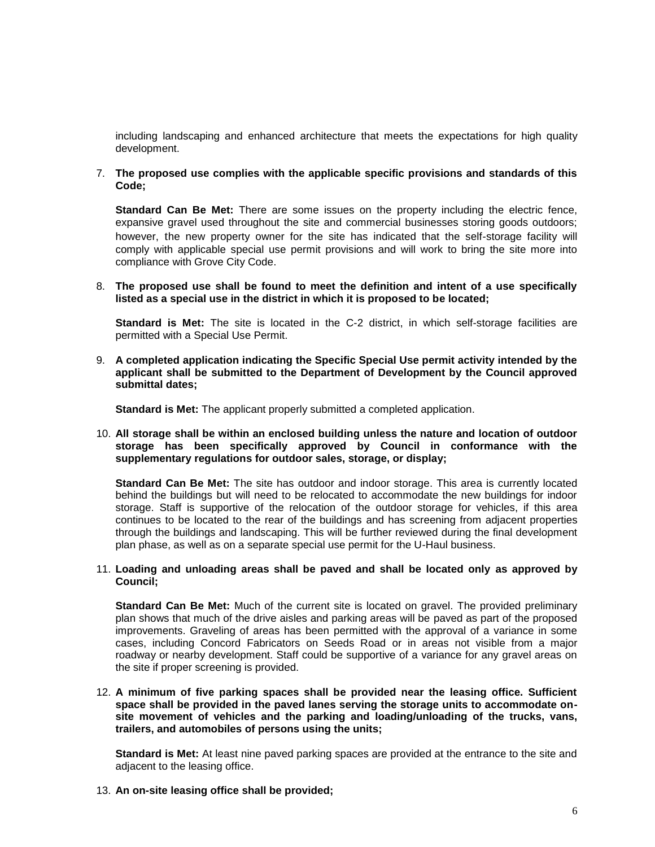including landscaping and enhanced architecture that meets the expectations for high quality development.

7. **The proposed use complies with the applicable specific provisions and standards of this Code;**

**Standard Can Be Met:** There are some issues on the property including the electric fence, expansive gravel used throughout the site and commercial businesses storing goods outdoors; however, the new property owner for the site has indicated that the self-storage facility will comply with applicable special use permit provisions and will work to bring the site more into compliance with Grove City Code.

8. **The proposed use shall be found to meet the definition and intent of a use specifically listed as a special use in the district in which it is proposed to be located;**

**Standard is Met:** The site is located in the C-2 district, in which self-storage facilities are permitted with a Special Use Permit.

9. **A completed application indicating the Specific Special Use permit activity intended by the applicant shall be submitted to the Department of Development by the Council approved submittal dates;**

**Standard is Met:** The applicant properly submitted a completed application.

10. **All storage shall be within an enclosed building unless the nature and location of outdoor storage has been specifically approved by Council in conformance with the supplementary regulations for outdoor sales, storage, or display;**

**Standard Can Be Met:** The site has outdoor and indoor storage. This area is currently located behind the buildings but will need to be relocated to accommodate the new buildings for indoor storage. Staff is supportive of the relocation of the outdoor storage for vehicles, if this area continues to be located to the rear of the buildings and has screening from adjacent properties through the buildings and landscaping. This will be further reviewed during the final development plan phase, as well as on a separate special use permit for the U-Haul business.

#### 11. **Loading and unloading areas shall be paved and shall be located only as approved by Council;**

**Standard Can Be Met:** Much of the current site is located on gravel. The provided preliminary plan shows that much of the drive aisles and parking areas will be paved as part of the proposed improvements. Graveling of areas has been permitted with the approval of a variance in some cases, including Concord Fabricators on Seeds Road or in areas not visible from a major roadway or nearby development. Staff could be supportive of a variance for any gravel areas on the site if proper screening is provided.

12. **A minimum of five parking spaces shall be provided near the leasing office. Sufficient space shall be provided in the paved lanes serving the storage units to accommodate onsite movement of vehicles and the parking and loading/unloading of the trucks, vans, trailers, and automobiles of persons using the units;**

**Standard is Met:** At least nine paved parking spaces are provided at the entrance to the site and adjacent to the leasing office.

13. **An on-site leasing office shall be provided;**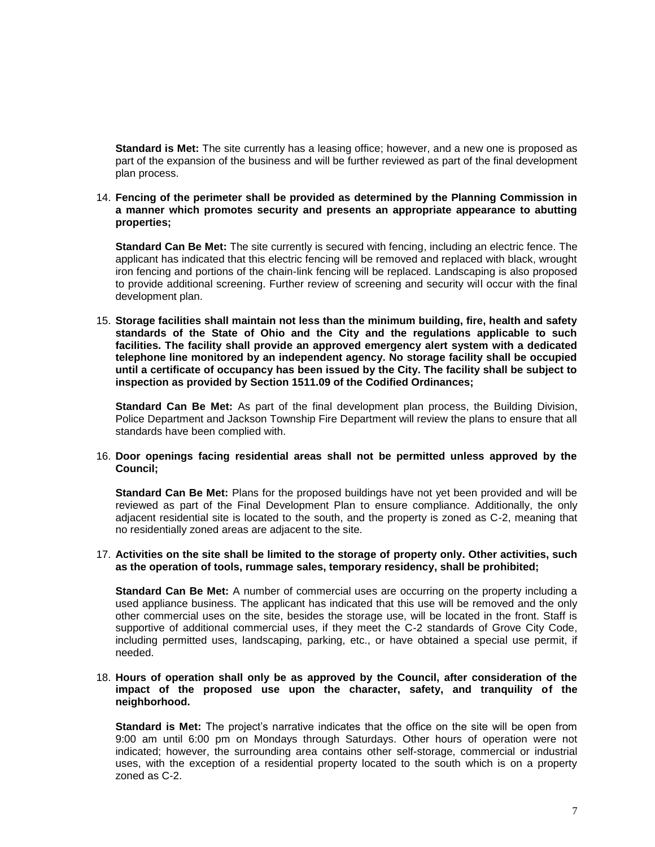**Standard is Met:** The site currently has a leasing office; however, and a new one is proposed as part of the expansion of the business and will be further reviewed as part of the final development plan process.

#### 14. **Fencing of the perimeter shall be provided as determined by the Planning Commission in a manner which promotes security and presents an appropriate appearance to abutting properties;**

**Standard Can Be Met:** The site currently is secured with fencing, including an electric fence. The applicant has indicated that this electric fencing will be removed and replaced with black, wrought iron fencing and portions of the chain-link fencing will be replaced. Landscaping is also proposed to provide additional screening. Further review of screening and security will occur with the final development plan.

15. **Storage facilities shall maintain not less than the minimum building, fire, health and safety standards of the State of Ohio and the City and the regulations applicable to such facilities. The facility shall provide an approved emergency alert system with a dedicated telephone line monitored by an independent agency. No storage facility shall be occupied until a certificate of occupancy has been issued by the City. The facility shall be subject to inspection as provided by Section 1511.09 of the Codified Ordinances;**

**Standard Can Be Met:** As part of the final development plan process, the Building Division, Police Department and Jackson Township Fire Department will review the plans to ensure that all standards have been complied with.

#### 16. **Door openings facing residential areas shall not be permitted unless approved by the Council;**

**Standard Can Be Met:** Plans for the proposed buildings have not yet been provided and will be reviewed as part of the Final Development Plan to ensure compliance. Additionally, the only adjacent residential site is located to the south, and the property is zoned as C-2, meaning that no residentially zoned areas are adjacent to the site.

#### 17. **Activities on the site shall be limited to the storage of property only. Other activities, such as the operation of tools, rummage sales, temporary residency, shall be prohibited;**

**Standard Can Be Met:** A number of commercial uses are occurring on the property including a used appliance business. The applicant has indicated that this use will be removed and the only other commercial uses on the site, besides the storage use, will be located in the front. Staff is supportive of additional commercial uses, if they meet the C-2 standards of Grove City Code, including permitted uses, landscaping, parking, etc., or have obtained a special use permit, if needed.

#### 18. **Hours of operation shall only be as approved by the Council, after consideration of the impact of the proposed use upon the character, safety, and tranquility of the neighborhood.**

**Standard is Met:** The project's narrative indicates that the office on the site will be open from 9:00 am until 6:00 pm on Mondays through Saturdays. Other hours of operation were not indicated; however, the surrounding area contains other self-storage, commercial or industrial uses, with the exception of a residential property located to the south which is on a property zoned as C-2.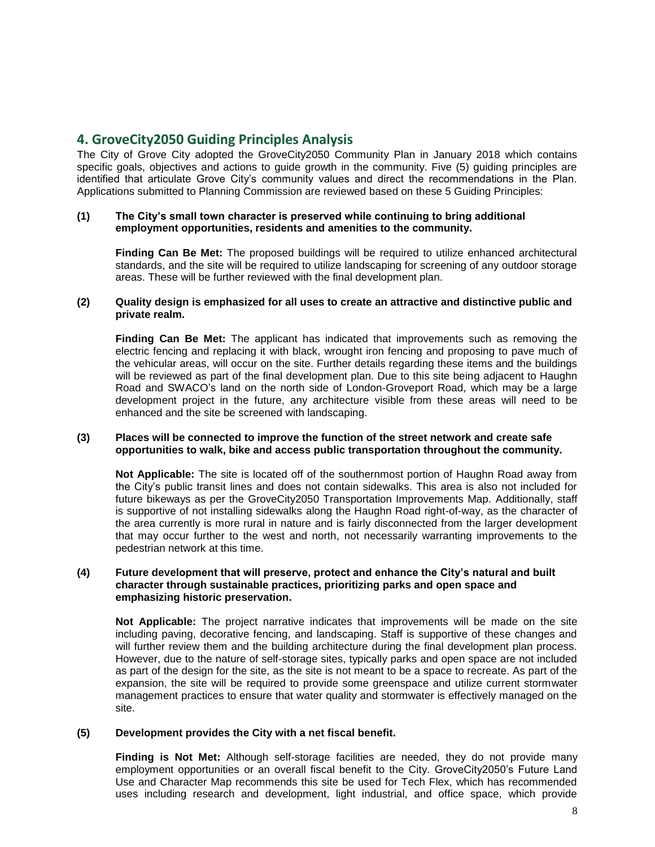# **4. GroveCity2050 Guiding Principles Analysis**

The City of Grove City adopted the GroveCity2050 Community Plan in January 2018 which contains specific goals, objectives and actions to guide growth in the community. Five (5) guiding principles are identified that articulate Grove City's community values and direct the recommendations in the Plan. Applications submitted to Planning Commission are reviewed based on these 5 Guiding Principles:

#### **(1) The City's small town character is preserved while continuing to bring additional employment opportunities, residents and amenities to the community.**

**Finding Can Be Met:** The proposed buildings will be required to utilize enhanced architectural standards, and the site will be required to utilize landscaping for screening of any outdoor storage areas. These will be further reviewed with the final development plan.

#### **(2) Quality design is emphasized for all uses to create an attractive and distinctive public and private realm.**

**Finding Can Be Met:** The applicant has indicated that improvements such as removing the electric fencing and replacing it with black, wrought iron fencing and proposing to pave much of the vehicular areas, will occur on the site. Further details regarding these items and the buildings will be reviewed as part of the final development plan. Due to this site being adjacent to Haughn Road and SWACO's land on the north side of London-Groveport Road, which may be a large development project in the future, any architecture visible from these areas will need to be enhanced and the site be screened with landscaping.

#### **(3) Places will be connected to improve the function of the street network and create safe opportunities to walk, bike and access public transportation throughout the community.**

**Not Applicable:** The site is located off of the southernmost portion of Haughn Road away from the City's public transit lines and does not contain sidewalks. This area is also not included for future bikeways as per the GroveCity2050 Transportation Improvements Map. Additionally, staff is supportive of not installing sidewalks along the Haughn Road right-of-way, as the character of the area currently is more rural in nature and is fairly disconnected from the larger development that may occur further to the west and north, not necessarily warranting improvements to the pedestrian network at this time.

#### **(4) Future development that will preserve, protect and enhance the City's natural and built character through sustainable practices, prioritizing parks and open space and emphasizing historic preservation.**

**Not Applicable:** The project narrative indicates that improvements will be made on the site including paving, decorative fencing, and landscaping. Staff is supportive of these changes and will further review them and the building architecture during the final development plan process. However, due to the nature of self-storage sites, typically parks and open space are not included as part of the design for the site, as the site is not meant to be a space to recreate. As part of the expansion, the site will be required to provide some greenspace and utilize current stormwater management practices to ensure that water quality and stormwater is effectively managed on the site.

#### **(5) Development provides the City with a net fiscal benefit.**

**Finding is Not Met:** Although self-storage facilities are needed, they do not provide many employment opportunities or an overall fiscal benefit to the City. GroveCity2050's Future Land Use and Character Map recommends this site be used for Tech Flex, which has recommended uses including research and development, light industrial, and office space, which provide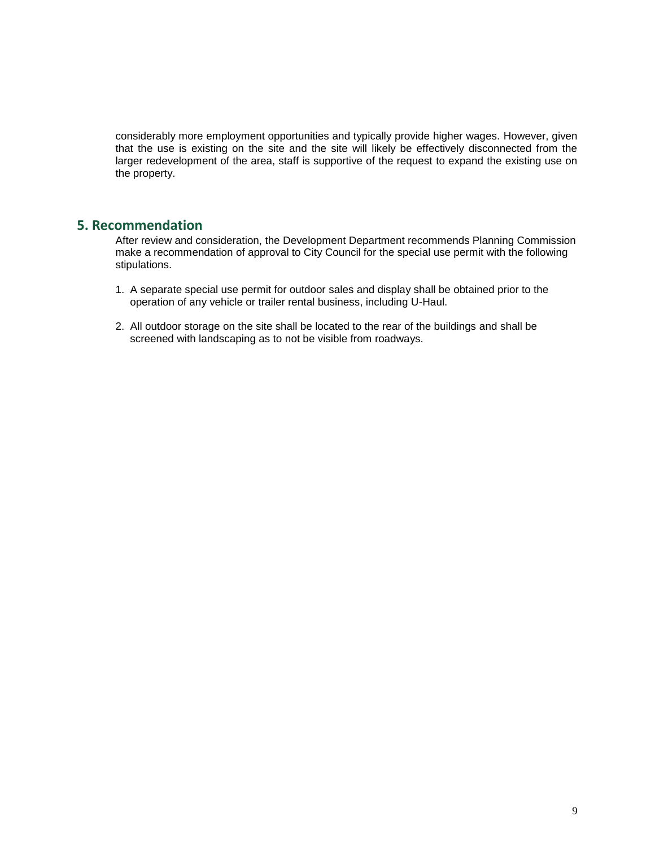considerably more employment opportunities and typically provide higher wages. However, given that the use is existing on the site and the site will likely be effectively disconnected from the larger redevelopment of the area, staff is supportive of the request to expand the existing use on the property.

# **5. Recommendation**

After review and consideration, the Development Department recommends Planning Commission make a recommendation of approval to City Council for the special use permit with the following stipulations.

- 1. A separate special use permit for outdoor sales and display shall be obtained prior to the operation of any vehicle or trailer rental business, including U-Haul.
- 2. All outdoor storage on the site shall be located to the rear of the buildings and shall be screened with landscaping as to not be visible from roadways.